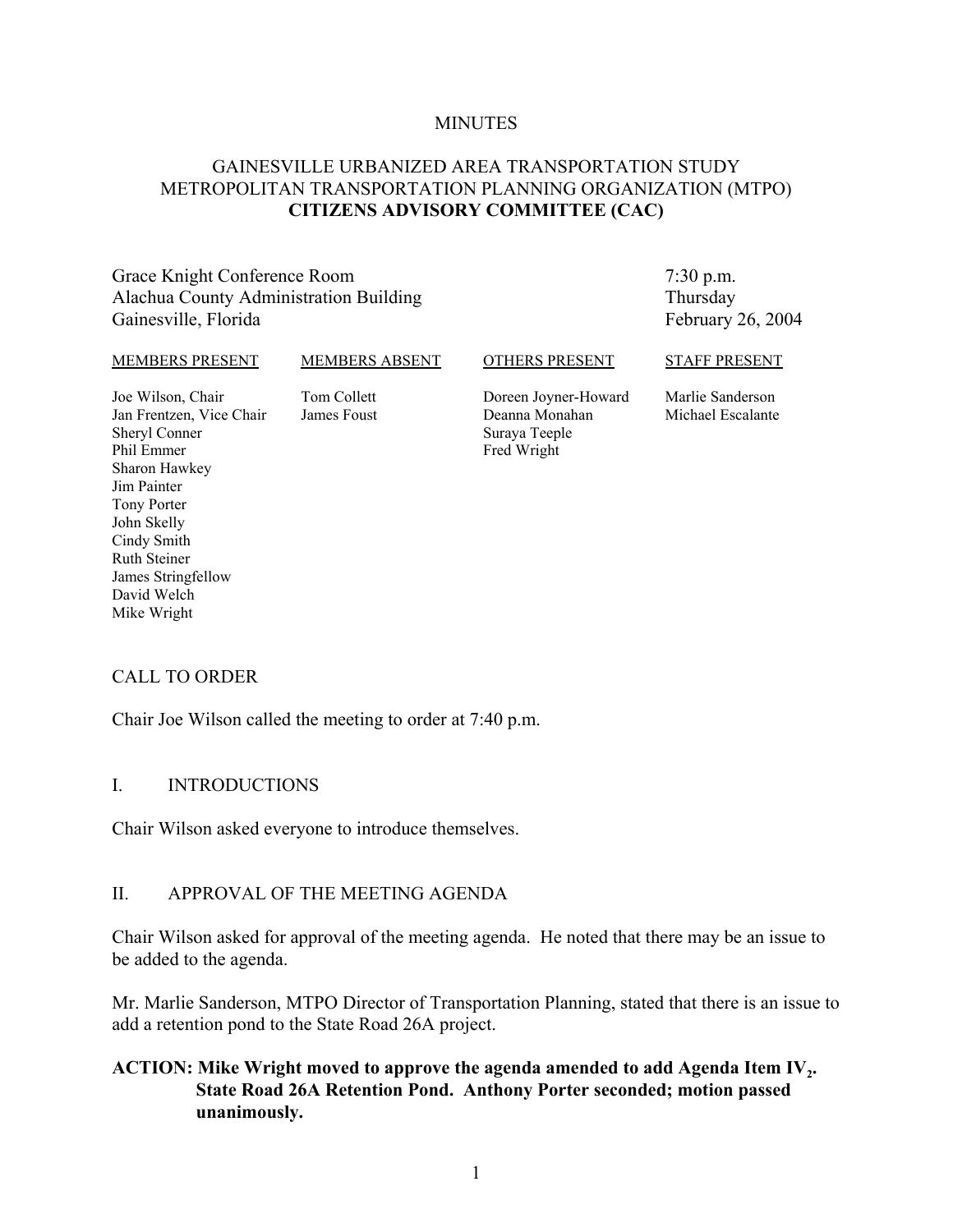#### **MINUTES**

# GAINESVILLE URBANIZED AREA TRANSPORTATION STUDY METROPOLITAN TRANSPORTATION PLANNING ORGANIZATION (MTPO) **CITIZENS ADVISORY COMMITTEE (CAC)**

Grace Knight Conference Room Alachua County Administration Building Gainesville, Florida

7:30 p.m. Thursday February 26, 2004

#### MEMBERS PRESENT

#### MEMBERS ABSENT

OTHERS PRESENT

Joe Wilson, Chair Jan Frentzen, Vice Chair Sheryl Conner Phil Emmer Sharon Hawkey Jim Painter Tony Porter John Skelly Cindy Smith Ruth Steiner James Stringfellow David Welch Mike Wright

Tom Collett James Foust Doreen Joyner-Howard Deanna Monahan Suraya Teeple Fred Wright

STAFF PRESENT

Marlie Sanderson Michael Escalante

# CALL TO ORDER

Chair Joe Wilson called the meeting to order at 7:40 p.m.

#### I. INTRODUCTIONS

Chair Wilson asked everyone to introduce themselves.

#### II. APPROVAL OF THE MEETING AGENDA

Chair Wilson asked for approval of the meeting agenda. He noted that there may be an issue to be added to the agenda.

Mr. Marlie Sanderson, MTPO Director of Transportation Planning, stated that there is an issue to add a retention pond to the State Road 26A project.

## ACTION: Mike Wright moved to approve the agenda amended to add Agenda Item IV<sub>2</sub>. **State Road 26A Retention Pond. Anthony Porter seconded; motion passed unanimously.**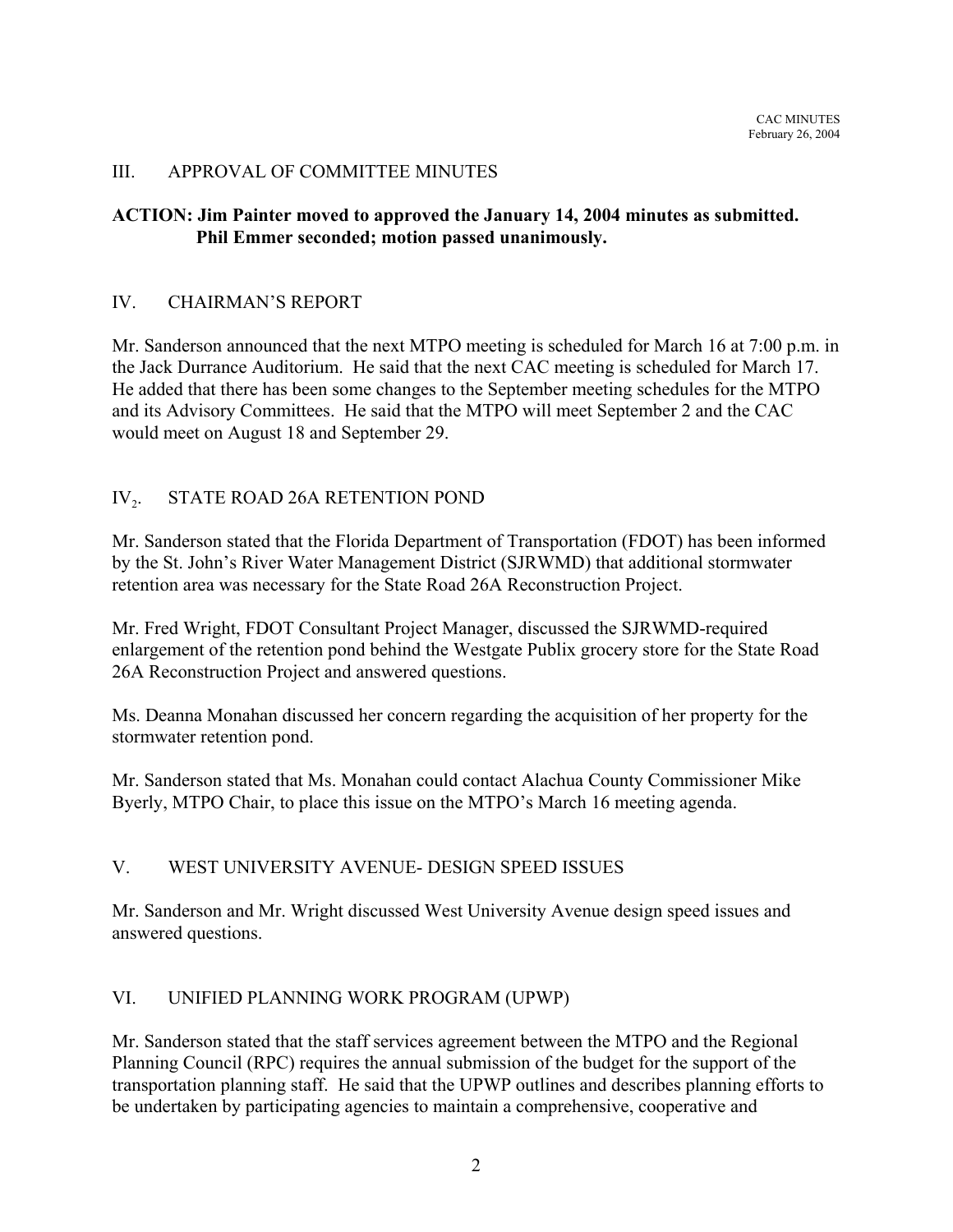## III. APPROVAL OF COMMITTEE MINUTES

## **ACTION: Jim Painter moved to approved the January 14, 2004 minutes as submitted. Phil Emmer seconded; motion passed unanimously.**

#### IV. CHAIRMAN'S REPORT

Mr. Sanderson announced that the next MTPO meeting is scheduled for March 16 at 7:00 p.m. in the Jack Durrance Auditorium. He said that the next CAC meeting is scheduled for March 17. He added that there has been some changes to the September meeting schedules for the MTPO and its Advisory Committees. He said that the MTPO will meet September 2 and the CAC would meet on August 18 and September 29.

### IV<sub>2</sub>. STATE ROAD 26A RETENTION POND

Mr. Sanderson stated that the Florida Department of Transportation (FDOT) has been informed by the St. John's River Water Management District (SJRWMD) that additional stormwater retention area was necessary for the State Road 26A Reconstruction Project.

Mr. Fred Wright, FDOT Consultant Project Manager, discussed the SJRWMD-required enlargement of the retention pond behind the Westgate Publix grocery store for the State Road 26A Reconstruction Project and answered questions.

Ms. Deanna Monahan discussed her concern regarding the acquisition of her property for the stormwater retention pond.

Mr. Sanderson stated that Ms. Monahan could contact Alachua County Commissioner Mike Byerly, MTPO Chair, to place this issue on the MTPO's March 16 meeting agenda.

#### V. WEST UNIVERSITY AVENUE- DESIGN SPEED ISSUES

Mr. Sanderson and Mr. Wright discussed West University Avenue design speed issues and answered questions.

# VI. UNIFIED PLANNING WORK PROGRAM (UPWP)

Mr. Sanderson stated that the staff services agreement between the MTPO and the Regional Planning Council (RPC) requires the annual submission of the budget for the support of the transportation planning staff. He said that the UPWP outlines and describes planning efforts to be undertaken by participating agencies to maintain a comprehensive, cooperative and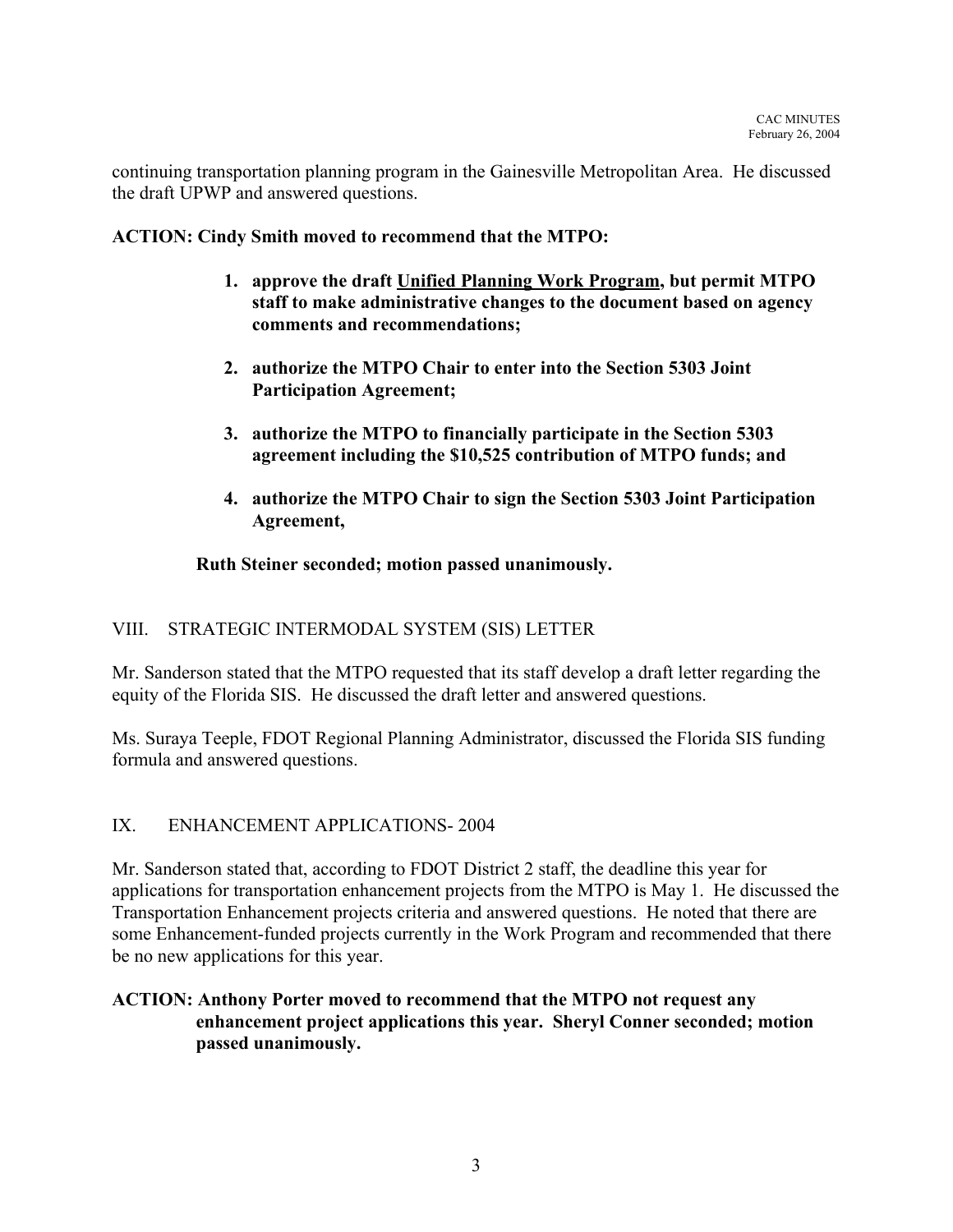continuing transportation planning program in the Gainesville Metropolitan Area. He discussed the draft UPWP and answered questions.

# **ACTION: Cindy Smith moved to recommend that the MTPO:**

- **1. approve the draft Unified Planning Work Program, but permit MTPO staff to make administrative changes to the document based on agency comments and recommendations;**
- **2. authorize the MTPO Chair to enter into the Section 5303 Joint Participation Agreement;**
- **3. authorize the MTPO to financially participate in the Section 5303 agreement including the \$10,525 contribution of MTPO funds; and**
- **4. authorize the MTPO Chair to sign the Section 5303 Joint Participation Agreement,**

# **Ruth Steiner seconded; motion passed unanimously.**

# VIII. STRATEGIC INTERMODAL SYSTEM (SIS) LETTER

Mr. Sanderson stated that the MTPO requested that its staff develop a draft letter regarding the equity of the Florida SIS. He discussed the draft letter and answered questions.

Ms. Suraya Teeple, FDOT Regional Planning Administrator, discussed the Florida SIS funding formula and answered questions.

#### IX. ENHANCEMENT APPLICATIONS- 2004

Mr. Sanderson stated that, according to FDOT District 2 staff, the deadline this year for applications for transportation enhancement projects from the MTPO is May 1. He discussed the Transportation Enhancement projects criteria and answered questions. He noted that there are some Enhancement-funded projects currently in the Work Program and recommended that there be no new applications for this year.

# **ACTION: Anthony Porter moved to recommend that the MTPO not request any enhancement project applications this year. Sheryl Conner seconded; motion passed unanimously.**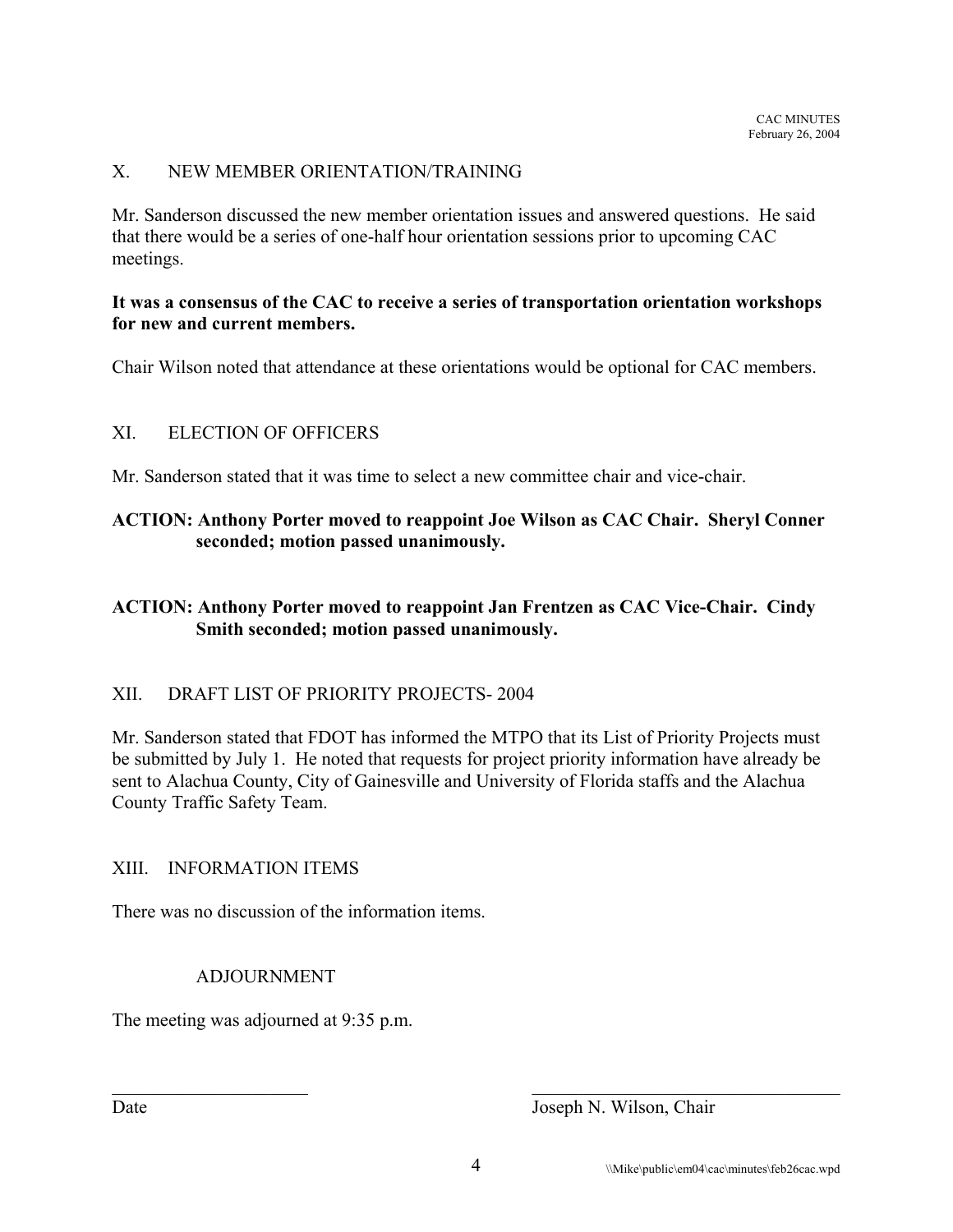## X. NEW MEMBER ORIENTATION/TRAINING

Mr. Sanderson discussed the new member orientation issues and answered questions. He said that there would be a series of one-half hour orientation sessions prior to upcoming CAC meetings.

#### **It was a consensus of the CAC to receive a series of transportation orientation workshops for new and current members.**

Chair Wilson noted that attendance at these orientations would be optional for CAC members.

#### XI. ELECTION OF OFFICERS

Mr. Sanderson stated that it was time to select a new committee chair and vice-chair.

# **ACTION: Anthony Porter moved to reappoint Joe Wilson as CAC Chair. Sheryl Conner seconded; motion passed unanimously.**

# **ACTION: Anthony Porter moved to reappoint Jan Frentzen as CAC Vice-Chair. Cindy Smith seconded; motion passed unanimously.**

#### XII. DRAFT LIST OF PRIORITY PROJECTS- 2004

Mr. Sanderson stated that FDOT has informed the MTPO that its List of Priority Projects must be submitted by July 1. He noted that requests for project priority information have already be sent to Alachua County, City of Gainesville and University of Florida staffs and the Alachua County Traffic Safety Team.

#### XIII. INFORMATION ITEMS

There was no discussion of the information items.

#### ADJOURNMENT

The meeting was adjourned at 9:35 p.m.

 $\mathcal{L}_\text{max}$  , and the contribution of the contribution of the contribution of the contribution of the contribution of the contribution of the contribution of the contribution of the contribution of the contribution of t

Date Joseph N. Wilson, Chair